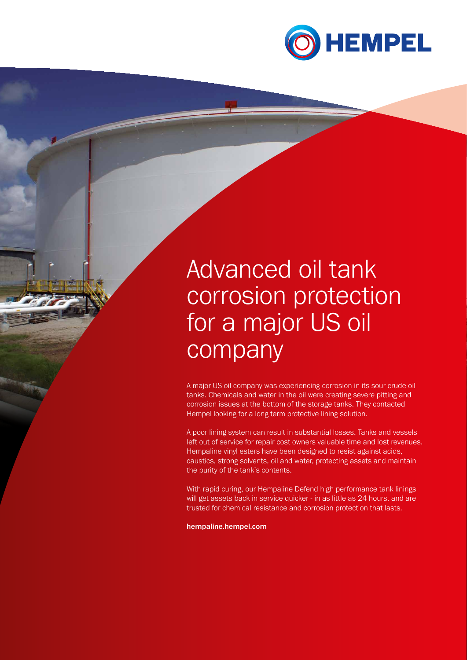

# Advanced oil tank corrosion protection for a major US oil company

A major US oil company was experiencing corrosion in its sour crude oil tanks. Chemicals and water in the oil were creating severe pitting and corrosion issues at the bottom of the storage tanks. They contacted Hempel looking for a long term protective lining solution.

A poor lining system can result in substantial losses. Tanks and vessels left out of service for repair cost owners valuable time and lost revenues. Hempaline vinyl esters have been designed to resist against acids, caustics, strong solvents, oil and water, protecting assets and maintain the purity of the tank's contents.

With rapid curing, our Hempaline Defend high performance tank linings will get assets back in service quicker - in as little as 24 hours, and are trusted for chemical resistance and corrosion protection that lasts.

hempaline.hempel.com